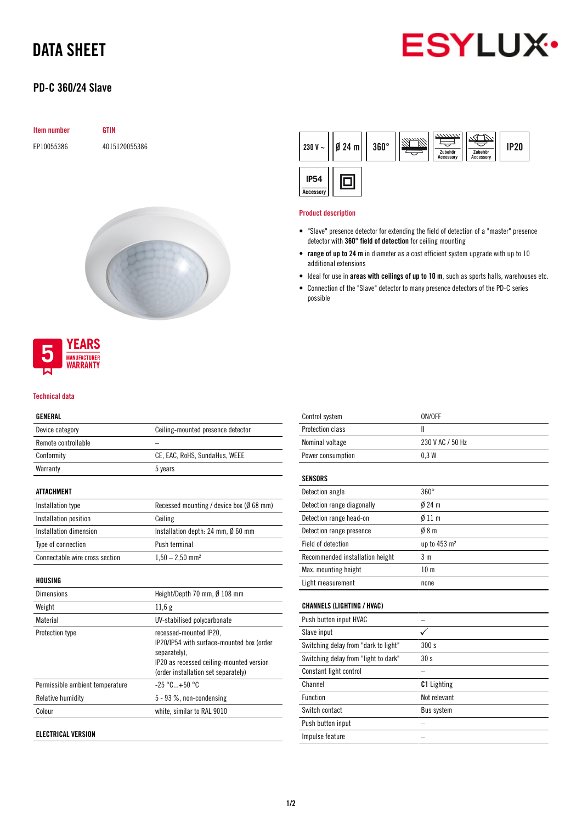# DATA SHEET



## PD-C 360/24 Slave

| <b>Item number</b> | <b>GTIN</b>   |
|--------------------|---------------|
| EP10055386         | 4015120055386 |





#### Technical data

### GENERAL

| ucneral                         |                                                                                                                                                                        |
|---------------------------------|------------------------------------------------------------------------------------------------------------------------------------------------------------------------|
| Device category                 | Ceiling-mounted presence detector                                                                                                                                      |
| Remote controllable             |                                                                                                                                                                        |
| Conformity                      | CE, EAC, RoHS, SundaHus, WEEE                                                                                                                                          |
| Warranty                        | 5 years                                                                                                                                                                |
| <b>ATTACHMENT</b>               |                                                                                                                                                                        |
| Installation type               | Recessed mounting / device box ( $\emptyset$ 68 mm)                                                                                                                    |
| Installation position           | Ceiling                                                                                                                                                                |
| Installation dimension          | Installation depth: 24 mm, $\emptyset$ 60 mm                                                                                                                           |
| Type of connection              | Push terminal                                                                                                                                                          |
| Connectable wire cross section  | $1,50 - 2,50$ mm <sup>2</sup>                                                                                                                                          |
| HOUSING                         |                                                                                                                                                                        |
| <b>Dimensions</b>               | Height/Depth 70 mm, Ø 108 mm                                                                                                                                           |
| Weight                          | 11,6g                                                                                                                                                                  |
| Material                        | UV-stabilised polycarbonate                                                                                                                                            |
| Protection type                 | recessed-mounted IP20.<br>IP20/IP54 with surface-mounted box (order<br>separately),<br>IP20 as recessed ceiling-mounted version<br>(order installation set separately) |
| Permissible ambient temperature | $-25 °C+50 °C$                                                                                                                                                         |
| Relative humidity               | $5 - 93$ %, non-condensing                                                                                                                                             |
| Colour                          | white, similar to RAL 9010                                                                                                                                             |
|                                 |                                                                                                                                                                        |

ELECTRICAL VERSION

|                          | 230 V ~ $   \cancel{0}$ 24 m $  $ | $360^\circ$ | $\frac{2}{2}$<br>Zubehör<br><b>Accessory</b> | Zubehör<br>Accessory | <b>IP20</b> |
|--------------------------|-----------------------------------|-------------|----------------------------------------------|----------------------|-------------|
| <b>IP54</b><br>Accessory |                                   |             |                                              |                      |             |

#### Product description

- "Slave" presence detector for extending the field of detection of a "master" presence detector with 360° field of detection for ceiling mounting
- range of up to 24 m in diameter as a cost efficient system upgrade with up to 10 additional extensions
- Ideal for use in areas with ceilings of up to 10 m, such as sports halls, warehouses etc.
- Connection of the "Slave" detector to many presence detectors of the PD-C series possible

| Control system                       | ON/OFF                   |
|--------------------------------------|--------------------------|
| Protection class                     | Ш                        |
| Nominal voltage                      | 230 V AC / 50 Hz         |
| Power consumption                    | 0.3W                     |
|                                      |                          |
| <b>SENSORS</b>                       |                          |
| Detection angle                      | $360^\circ$              |
| Detection range diagonally           | $024$ m                  |
| Detection range head-on              | $\emptyset$ 11 m         |
| Detection range presence             | Ø8m                      |
| Field of detection                   | up to 453 m <sup>2</sup> |
| Recommended installation height      | 3 <sub>m</sub>           |
| Max. mounting height                 | 10 <sub>m</sub>          |
| Light measurement                    | none                     |
|                                      |                          |
| <b>CHANNELS (LIGHTING / HVAC)</b>    |                          |
| Push button input HVAC               |                          |
| Slave input                          | ✓                        |
| Switching delay from "dark to light" | 300 s                    |
| Switching delay from "light to dark" | 30 <sub>s</sub>          |
| Constant light control               |                          |
| Channel                              | <b>C1</b> Lighting       |
| Function                             | Not relevant             |
| Switch contact                       | Bus system               |
| Push button input                    |                          |
| Impulse feature                      |                          |
|                                      |                          |